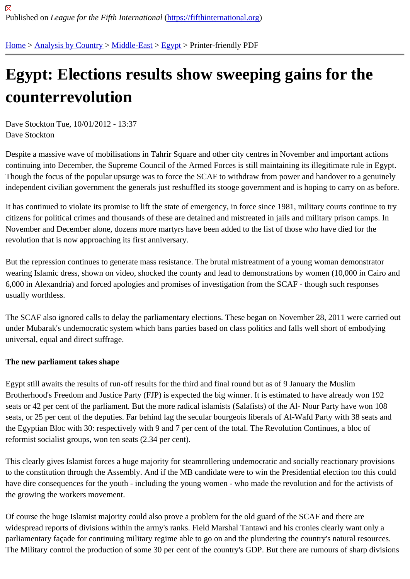## [Eg](https://fifthinternational.org/)y[pt: Electio](https://fifthinternational.org/category/1)[ns resu](https://fifthinternational.org/category/1/178)[lts](https://fifthinternational.org/category/1/178/181) show sweeping gains for the counterrevolution

Dave Stockton Tue, 10/01/2012 - 13:37 Dave Stockton

Despite a massive wave of mobilisations in Tahrir Square and other city centres in November and important actior continuing into December, the Supreme Council of the Armed Forces is still maintaining its illegitimate rule in Egyp Though the focus of the popular upsurge was to force the SCAF to withdraw from power and handover to a genuir independent civilian government the generals just reshuffled its stooge government and is hoping to carry on as be

It has continued to violate its promise to lift the state of emergency, in force since 1981, military courts continue to citizens for political crimes and thousands of these are detained and mistreated in jails and military prison camps. November and December alone, dozens more martyrs have been added to the list of those who have died for the revolution that is now approaching its first anniversary.

But the repression continues to generate mass resistance. The brutal mistreatment of a young woman demonstrat wearing Islamic dress, shown on video, shocked the county and lead to demonstrations by women (10,000 in Cair 6,000 in Alexandria) and forced apologies and promises of investigation from the SCAF - though such responses usually worthless.

The SCAF also ignored calls to delay the parliamentary elections. These began on November 28, 2011 were carrie under Mubarak's undemocratic system which bans parties based on class politics and falls well short of embodyin universal, equal and direct suffrage.

The new parliament takes shape

Egypt still awaits the results of run-off results for the third and final round but as of 9 January the Muslim Brotherhood's Freedom and Justice Party (FJP) is expected the big winner. It is estimated to have already won 19 seats or 42 per cent of the parliament. But the more radical islamists (Salafists) of the Al- Nour Party have won 10 seats, or 25 per cent of the deputies. Far behind lag the secular bourgeois liberals of Al-Wafd Party with 38 seats a the Egyptian Bloc with 30: respectively with 9 and 7 per cent of the total. The Revolution Continues, a bloc of reformist socialist groups, won ten seats (2.34 per cent).

This clearly gives Islamist forces a huge majority for steamrollering undemocratic and socially reactionary provisio to the constitution through the Assembly. And if the MB candidate were to win the Presidential election too this cou have dire consequences for the youth - including the young women - who made the revolution and for the activists the growing the workers movement.

Of course the huge Islamist majority could also prove a problem for the old guard of the SCAF and there are widespread reports of divisions within the army's ranks. Field Marshal Tantawi and his cronies clearly want only a parliamentary façade for continuing military regime able to go on and the plundering the country's natural resource The Military control the production of some 30 per cent of the country's GDP. But there are rumours of sharp divisi